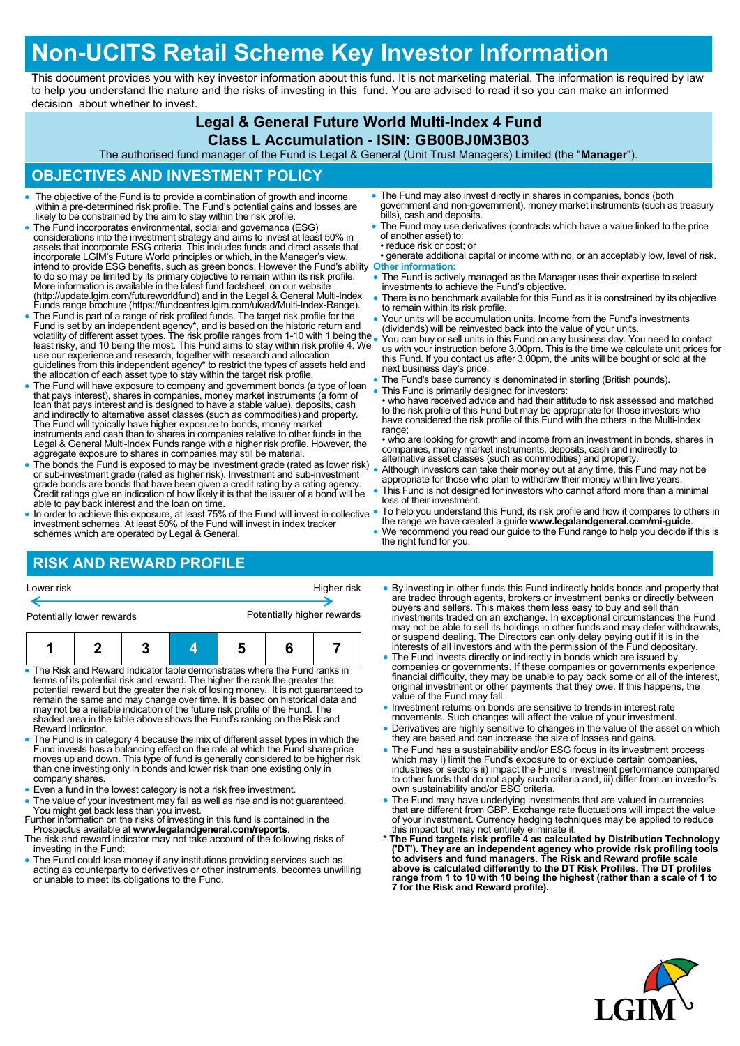# **Non-UCITS Retail Scheme Key Investor Information**

This document provides you with key investor information about this fund. It is not marketing material. The information is required by law to help you understand the nature and the risks of investing in this fund. You are advised to read it so you can make an informed decision about whether to invest.

## **Legal & General Future World Multi-Index 4 Fund**

#### **Class L Accumulation - ISIN: GB00BJ0M3B03**

The authorised fund manager of the Fund is Legal & General (Unit Trust Managers) Limited (the "**Manager**").

#### **OBJECTIVES AND INVESTMENT POLICY**

- The objective of the Fund is to provide a combination of growth and income within a pre-determined risk profile. The Fund's potential gains and losses are likely to be constrained by the aim to stay within the risk profi
- The Fund incorporates environmental, social and governance (ESG) considerations into the investment strategy and aims to invest at least 50% in<br>assets that incorporate ESG criteria. This includes funds and direct assets that<br>incorporate LGIM's Future World principles or which, in the Ma intend to provide ESG benefits, such as green bonds. However the Fund's ability to do so may be limited by its primary objective to remain within its risk profile. **Other information:** More information is available in the latest fund factsheet, on our website (http://update.lgim.com/futureworldfund) and in the Legal & General Multi-Index Funds range brochure (https://fundcentres.lgim.com/uk/ad/Multi-Index-Range).
- The Fund is part of a range of risk profiled funds. The target risk profile for the Fund is set by an independent agency\*, and is based on the historic return and<br>volatility of different asset types. The risk profile ranges from 1-10 with 1 being the<br>least risky, and 10 being the most. This Fund aims to s guidelines from this independent agency\* to restrict the types of assets held and the allocation of each asset type to stay within the target risk profile.
- The Fund will have exposure to company and government bonds (a type of loan<br>that pays interest), shares in companies, money market instruments (a form of<br>loan that pays interest and is designed to have a stable value), d The Fund will typically have higher exposure to bonds, money market instruments and cash than to shares in companies relative to other funds in the Legal & General Multi-Index Funds range with a higher risk profile. However, the aggregate exposure to shares in companies may still be material.
- The bonds the Fund is exposed to may be investment grade (rated as lower risk) or sub-investment grade (rated as higher risk). Investment and sub-investment grade bonds are bonds that have been given a credit rating by a rating agency. Credit ratings give an indication of how likely it is that the issuer of a bond will be able to pay back interest and the loan on time.
- In order to achieve this exposure, at least 75% of the Fund will invest in collective investment schemes. At least 50% of the Fund will invest in index tracker schemes which are operated by Legal & General.
- The Fund may also invest directly in shares in companies, bonds (both government and non-government), money market instruments (such as treasury bills), cash and deposits.
- The Fund may use derivatives (contracts which have a value linked to the price of another asset) to: • reduce risk or cost; or
- generate additional capital or income with no, or an acceptably low, level of risk.
- The Fund is actively managed as the Manager uses their expertise to select investments to achieve the Fund's objective.
- There is no benchmark available for this Fund as it is constrained by its objective to remain within its risk profile.
- Your units will be accumulation units. Income from the Fund's investments (dividends) will be reinvested back into the value of your units.
- You can buy or sell units in this Fund on any business day. You need to contact us with your instruction before 3.00pm. This is the time we calculate unit prices for this Fund. If you contact us after 3.00pm, the units will be bought or sold at the next business day's price.
- The Fund's base currency is denominated in sterling (British pounds).
- This Fund is primarily designed for investors:
	- who have received advice and had their attitude to risk assessed and matched to the risk profile of this Fund but may be appropriate for those investors who have considered the risk profile of this Fund with the others in the Multi-Index range;

• who are looking for growth and income from an investment in bonds, shares in companies, money market instruments, deposits, cash and indirectly to alternative asset classes (such as commodities) and property.

- Although investors can take their money out at any time, this Fund may not be appropriate for those who plan to withdraw their money within five years.
- This Fund is not designed for investors who cannot afford more than a minimal loss of their investment.
- To help you understand this Fund, its risk profile and how it compares to others in the range we have created a guide **www.legalandgeneral.com/mi-guide**.
- We recommend you read our guide to the Fund range to help you decide if this is the right fund for you.

## **RISK AND REWARD PROFILE**

| Lower risk |  |
|------------|--|
|------------|--|

Potentially lower rewards **Potentially higher rewards** 

Higher risk



- The Risk and Reward Indicator table demonstrates where the Fund ranks in terms of its potential risk and reward. The higher the rank the greater the potential reward but the greater the risk of losing money. It is not guaranteed to remain the same and may change over time. It is based on historical data and may not be a reliable indication of the future risk profile of the Fund. The shaded area in the table above shows the Fund's ranking on the Risk and Reward Indicator.
- The Fund is in category 4 because the mix of different asset types in which the Fund invests has a balancing effect on the rate at which the Fund share price moves up and down. This type of fund is generally considered to be higher risk than one investing only in bonds and lower risk than one existing only in company shares.
- Even a fund in the lowest category is not a risk free investment.
- The value of your investment may fall as well as rise and is not guaranteed. You might get back less than you invest. Further information on the risks of investing in this fund is contained in the
- Prospectus available at **www.legalandgeneral.com/reports**. The risk and reward indicator may not take account of the following risks of
- investing in the Fund:
- The Fund could lose money if any institutions providing services such as acting as counterparty to derivatives or other instruments, becomes unwilling or unable to meet its obligations to the Fund.
- By investing in other funds this Fund indirectly holds bonds and property that are traded fhrough agents, brokers or investment banks or directly between<br>buyers and sellers. This makes them less easy to buy and sell than<br>investments traded on an exchange. In exceptional circumstances the Fund<br>imay no or suspend dealing. The Directors can only delay paying out if it is in the interests of all investors and with the permission of the Fund depositary.
- The Fund invests directly or indirectly in bonds which are issued by<br>companies or governments. If these companies or governments experience<br>financial difficulty, they may be unable to pay back some or all of the interest value of the Fund may fall.
- . Investment returns on bonds are sensitive to trends in interest rate
- movements. Such changes will affect the value of your investment. Derivatives are highly sensitive to changes in the value of the asset on which they are based and can increase the size of losses and gains.
- The Fund has a sustainability and/or ESG focus in its investment process which may i) limit the Fund's exposure to or exclude certain companies, industries or sectors ii) impact the Fund's investment performance compared to other funds that do not apply such criteria and, iii) differ from an investor's own sustainability and/or ESG criteria.
- The Fund may have underlying investments that are valued in currencies<br>that are different from GBP. Exchange rate fluctuations will impact the value<br>of your investment. Currency hedging techniques may be applied to reduc
- \* The Fund targets risk profile 4 as calculated by Distribution Technology ('DT'). They are an independent agency who provide risk profiling tools to advisers and fund managers. The Risk and Reward profile scale above is **7 for the Risk and Reward profile).**